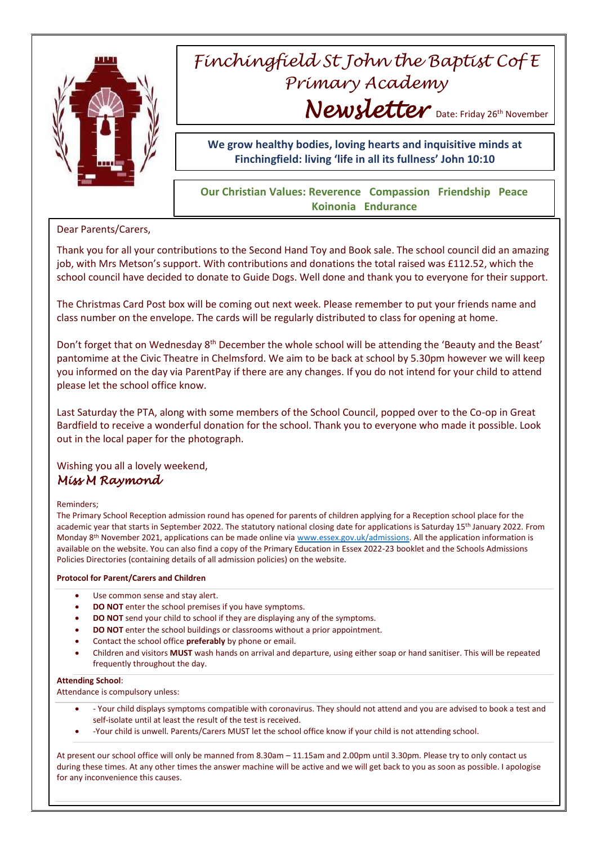

# *Finchingfield St John the Baptist Cof E Primary Academy* Newsletter Date: Friday 26th November

**We grow healthy bodies, loving hearts and inquisitive minds at Finchingfield: living 'life in all its fullness' John 10:10**

## **Our Christian Values: Reverence Compassion Friendship Peace Koinonia Endurance**

Dear Parents/Carers,

Thank you for all your contributions to the Second Hand Toy and Book sale. The school council did an amazing job, with Mrs Metson's support. With contributions and donations the total raised was £112.52, which the school council have decided to donate to Guide Dogs. Well done and thank you to everyone for their support.

The Christmas Card Post box will be coming out next week. Please remember to put your friends name and class number on the envelope. The cards will be regularly distributed to class for opening at home.

Don't forget that on Wednesday 8<sup>th</sup> December the whole school will be attending the 'Beauty and the Beast' pantomime at the Civic Theatre in Chelmsford. We aim to be back at school by 5.30pm however we will keep you informed on the day via ParentPay if there are any changes. If you do not intend for your child to attend please let the school office know.

Last Saturday the PTA, along with some members of the School Council, popped over to the Co-op in Great Bardfield to receive a wonderful donation for the school. Thank you to everyone who made it possible. Look out in the local paper for the photograph.

Wishing you all a lovely weekend, *Miss M Raymond* 

### Reminders;

The Primary School Reception admission round has opened for parents of children applying for a Reception school place for the academic year that starts in September 2022. The statutory national closing date for applications is Saturday 15<sup>th</sup> January 2022. From Monday 8<sup>th</sup> November 2021, applications can be made online vi[a www.essex.gov.uk/admissions.](http://www.essex.gov.uk/admissions) All the application information is available on the website. You can also find a copy of the Primary Education in Essex 2022-23 booklet and the Schools Admissions Policies Directories (containing details of all admission policies) on the website.

### **Protocol for Parent/Carers and Children**

- Use common sense and stay alert.
- **DO NOT** enter the school premises if you have symptoms.
- **DO NOT** send your child to school if they are displaying any of the symptoms.
- **DO NOT** enter the school buildings or classrooms without a prior appointment.
- Contact the school office **preferably** by phone or email.
- Children and visitors **MUST** wash hands on arrival and departure, using either soap or hand sanitiser. This will be repeated frequently throughout the day.

#### **Attending School**:

Attendance is compulsory unless:

- Your child displays symptoms compatible with coronavirus. They should not attend and you are advised to book a test and self-isolate until at least the result of the test is received.
- -Your child is unwell. Parents/Carers MUST let the school office know if your child is not attending school.

At present our school office will only be manned from 8.30am – 11.15am and 2.00pm until 3.30pm. Please try to only contact us during these times. At any other times the answer machine will be active and we will get back to you as soon as possible. I apologise for any inconvenience this causes.